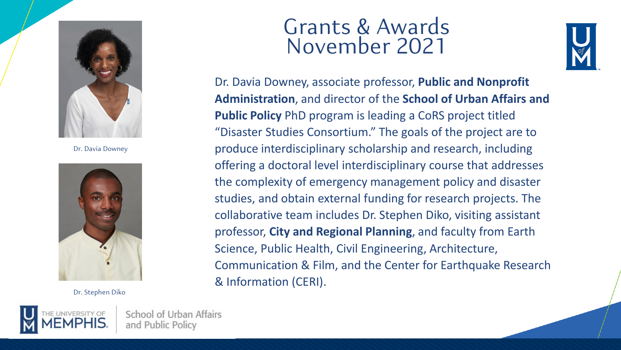

Dr. Davia Downey



Dr. Stephen Diko



School of Urban Affairs and Public Policy

## Grants & Awards November 2021



Dr. Davia Downey, associate professor, **Public and Nonprofit Administration**, and director of the **School of Urban Affairs and Public Policy** PhD program is leading a CoRS project titled "Disaster Studies Consortium." The goals of the project are to produce interdisciplinary scholarship and research, including offering a doctoral level interdisciplinary course that addresses the complexity of emergency management policy and disaster studies, and obtain external funding for research projects. The collaborative team includes Dr. Stephen Diko, visiting assistant professor, **City and Regional Planning**, and faculty from Earth Science, Public Health, Civil Engineering, Architecture, Communication & Film, and the Center for Earthquake Research & Information (CERI).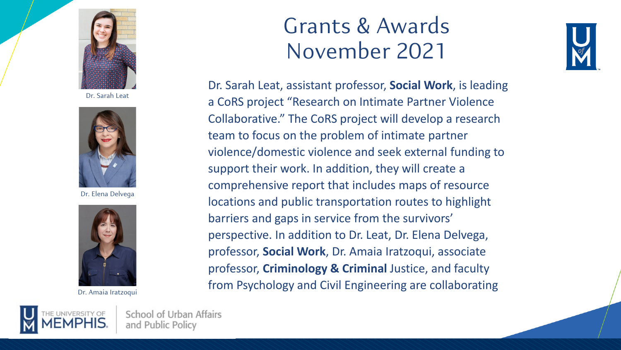

Dr. Sarah Leat



Dr. Elena Delvega



Dr. Amaia Iratzoqui

## Grants & Awards November 2021



Dr. Sarah Leat, assistant professor, **Social Work**, is leading a CoRS project "Research on Intimate Partner Violence Collaborative." The CoRS project will develop a research team to focus on the problem of intimate partner violence/domestic violence and seek external funding to support their work. In addition, they will create a comprehensive report that includes maps of resource locations and public transportation routes to highlight barriers and gaps in service from the survivors' perspective. In addition to Dr. Leat, Dr. Elena Delvega, professor, **Social Work**, Dr. Amaia Iratzoqui, associate professor, **Criminology & Criminal** Justice, and faculty from Psychology and Civil Engineering are collaborating

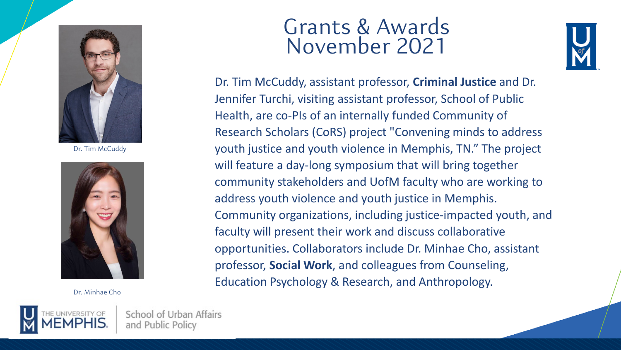

Dr. Tim McCuddy



Dr. Minhae Cho



School of Urban Affairs and Public Policy

## Grants & Awards November 2021



Dr. Tim McCuddy, assistant professor, **Criminal Justice** and Dr. Jennifer Turchi, visiting assistant professor, School of Public Health, are co-PIs of an internally funded Community of Research Scholars (CoRS) project "Convening minds to address youth justice and youth violence in Memphis, TN." The project will feature a day-long symposium that will bring together community stakeholders and UofM faculty who are working to address youth violence and youth justice in Memphis. Community organizations, including justice-impacted youth, and faculty will present their work and discuss collaborative opportunities. Collaborators include Dr. Minhae Cho, assistant professor, **Social Work**, and colleagues from Counseling, Education Psychology & Research, and Anthropology.